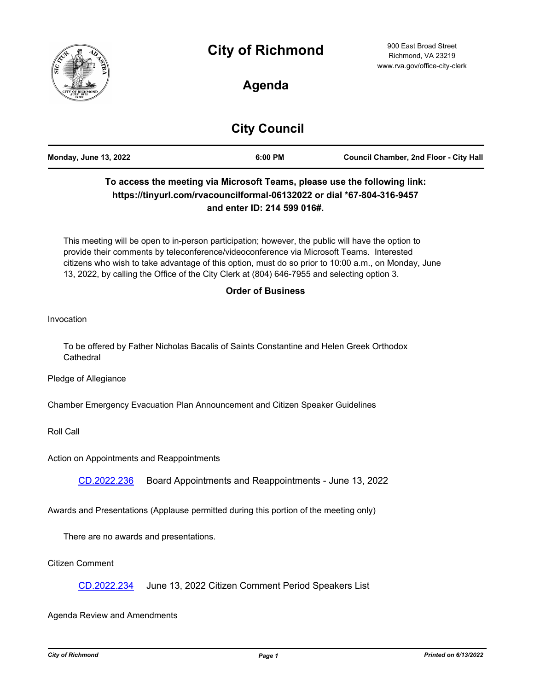



## **Agenda**

# **City Council**

| <b>Council Chamber, 2nd Floor - City Hall</b><br><b>Monday, June 13, 2022</b><br>6:00 PM |
|------------------------------------------------------------------------------------------|
|------------------------------------------------------------------------------------------|

### **To access the meeting via Microsoft Teams, please use the following link: https://tinyurl.com/rvacouncilformal-06132022 or dial \*67-804-316-9457 and enter ID: 214 599 016#.**

This meeting will be open to in-person participation; however, the public will have the option to provide their comments by teleconference/videoconference via Microsoft Teams. Interested citizens who wish to take advantage of this option, must do so prior to 10:00 a.m., on Monday, June 13, 2022, by calling the Office of the City Clerk at (804) 646-7955 and selecting option 3.

#### **Order of Business**

Invocation

To be offered by Father Nicholas Bacalis of Saints Constantine and Helen Greek Orthodox **Cathedral** 

Pledge of Allegiance

Chamber Emergency Evacuation Plan Announcement and Citizen Speaker Guidelines

Roll Call

Action on Appointments and Reappointments

[CD.2022.236](http://richmondva.legistar.com/gateway.aspx?m=l&id=/matter.aspx?key=32306) Board Appointments and Reappointments - June 13, 2022

Awards and Presentations (Applause permitted during this portion of the meeting only)

There are no awards and presentations.

Citizen Comment

[CD.2022.234](http://richmondva.legistar.com/gateway.aspx?m=l&id=/matter.aspx?key=32285) June 13, 2022 Citizen Comment Period Speakers List

Agenda Review and Amendments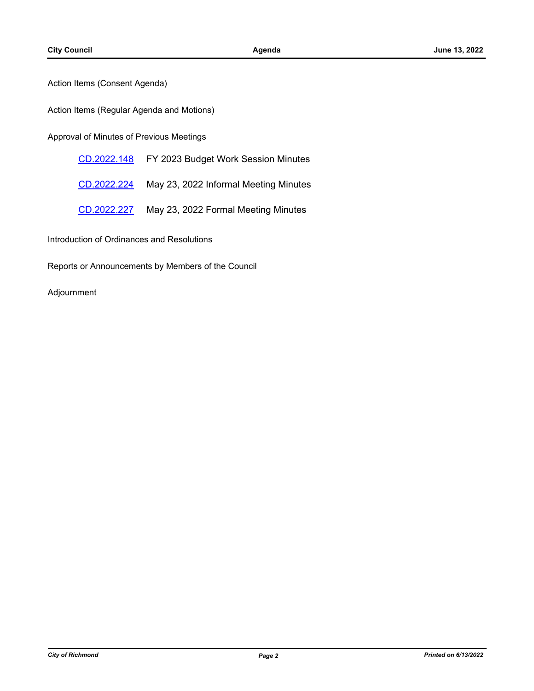Action Items (Consent Agenda)

Action Items (Regular Agenda and Motions)

Approval of Minutes of Previous Meetings

[CD.2022.148](http://richmondva.legistar.com/gateway.aspx?m=l&id=/matter.aspx?key=31925) FY 2023 Budget Work Session Minutes

[CD.2022.224](http://richmondva.legistar.com/gateway.aspx?m=l&id=/matter.aspx?key=32202) May 23, 2022 Informal Meeting Minutes

[CD.2022.227](http://richmondva.legistar.com/gateway.aspx?m=l&id=/matter.aspx?key=32230) May 23, 2022 Formal Meeting Minutes

Introduction of Ordinances and Resolutions

Reports or Announcements by Members of the Council

Adjournment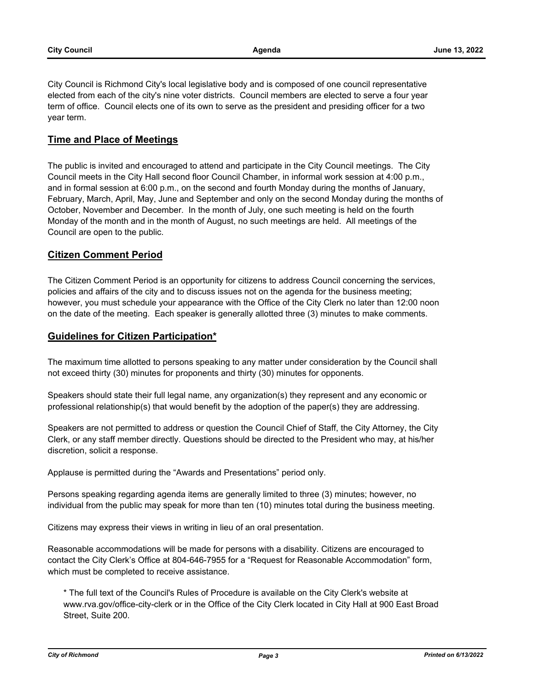City Council is Richmond City's local legislative body and is composed of one council representative elected from each of the city's nine voter districts. Council members are elected to serve a four year term of office. Council elects one of its own to serve as the president and presiding officer for a two year term.

#### **Time and Place of Meetings**

The public is invited and encouraged to attend and participate in the City Council meetings. The City Council meets in the City Hall second floor Council Chamber, in informal work session at 4:00 p.m., and in formal session at 6:00 p.m., on the second and fourth Monday during the months of January, February, March, April, May, June and September and only on the second Monday during the months of October, November and December. In the month of July, one such meeting is held on the fourth Monday of the month and in the month of August, no such meetings are held. All meetings of the Council are open to the public.

#### **Citizen Comment Period**

The Citizen Comment Period is an opportunity for citizens to address Council concerning the services, policies and affairs of the city and to discuss issues not on the agenda for the business meeting; however, you must schedule your appearance with the Office of the City Clerk no later than 12:00 noon on the date of the meeting. Each speaker is generally allotted three (3) minutes to make comments.

#### **Guidelines for Citizen Participation\***

The maximum time allotted to persons speaking to any matter under consideration by the Council shall not exceed thirty (30) minutes for proponents and thirty (30) minutes for opponents.

Speakers should state their full legal name, any organization(s) they represent and any economic or professional relationship(s) that would benefit by the adoption of the paper(s) they are addressing.

Speakers are not permitted to address or question the Council Chief of Staff, the City Attorney, the City Clerk, or any staff member directly. Questions should be directed to the President who may, at his/her discretion, solicit a response.

Applause is permitted during the "Awards and Presentations" period only.

Persons speaking regarding agenda items are generally limited to three (3) minutes; however, no individual from the public may speak for more than ten (10) minutes total during the business meeting.

Citizens may express their views in writing in lieu of an oral presentation.

Reasonable accommodations will be made for persons with a disability. Citizens are encouraged to contact the City Clerk's Office at 804-646-7955 for a "Request for Reasonable Accommodation" form, which must be completed to receive assistance.

\* The full text of the Council's Rules of Procedure is available on the City Clerk's website at www.rva.gov/office-city-clerk or in the Office of the City Clerk located in City Hall at 900 East Broad Street, Suite 200.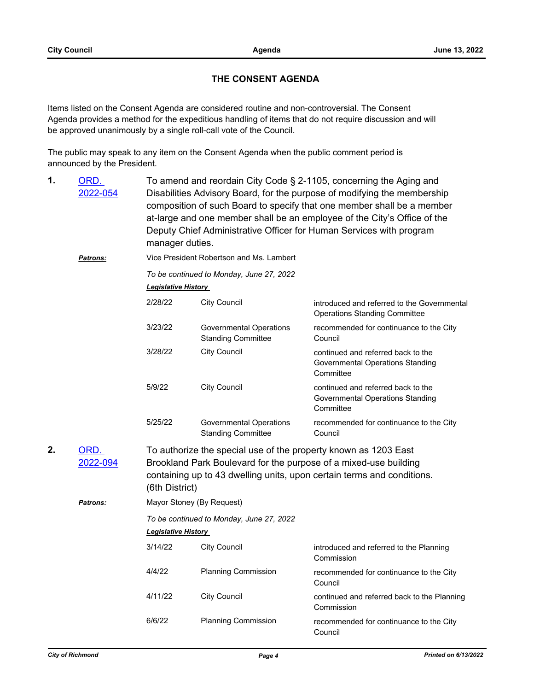#### **THE CONSENT AGENDA**

Items listed on the Consent Agenda are considered routine and non-controversial. The Consent Agenda provides a method for the expeditious handling of items that do not require discussion and will be approved unanimously by a single roll-call vote of the Council.

The public may speak to any item on the Consent Agenda when the public comment period is announced by the President.

| 1. | <u>ORD.</u><br>2022-054 | To amend and reordain City Code § 2-1105, concerning the Aging and<br>Disabilities Advisory Board, for the purpose of modifying the membership<br>composition of such Board to specify that one member shall be a member<br>at-large and one member shall be an employee of the City's Office of the<br>Deputy Chief Administrative Officer for Human Services with program<br>manager duties. |                                                             |                                                                                     |  |  |  |
|----|-------------------------|------------------------------------------------------------------------------------------------------------------------------------------------------------------------------------------------------------------------------------------------------------------------------------------------------------------------------------------------------------------------------------------------|-------------------------------------------------------------|-------------------------------------------------------------------------------------|--|--|--|
|    | Patrons:                |                                                                                                                                                                                                                                                                                                                                                                                                | Vice President Robertson and Ms. Lambert                    |                                                                                     |  |  |  |
|    |                         | To be continued to Monday, June 27, 2022<br><b>Legislative History</b>                                                                                                                                                                                                                                                                                                                         |                                                             |                                                                                     |  |  |  |
|    |                         | 2/28/22                                                                                                                                                                                                                                                                                                                                                                                        | <b>City Council</b>                                         | introduced and referred to the Governmental<br><b>Operations Standing Committee</b> |  |  |  |
|    |                         | 3/23/22                                                                                                                                                                                                                                                                                                                                                                                        | <b>Governmental Operations</b><br><b>Standing Committee</b> | recommended for continuance to the City<br>Council                                  |  |  |  |
|    |                         | 3/28/22                                                                                                                                                                                                                                                                                                                                                                                        | <b>City Council</b>                                         | continued and referred back to the<br>Governmental Operations Standing<br>Committee |  |  |  |
|    |                         | 5/9/22                                                                                                                                                                                                                                                                                                                                                                                         | <b>City Council</b>                                         | continued and referred back to the<br>Governmental Operations Standing<br>Committee |  |  |  |
|    |                         | 5/25/22                                                                                                                                                                                                                                                                                                                                                                                        | <b>Governmental Operations</b><br><b>Standing Committee</b> | recommended for continuance to the City<br>Council                                  |  |  |  |
| 2. | ORD.<br>2022-094        | To authorize the special use of the property known as 1203 East<br>Brookland Park Boulevard for the purpose of a mixed-use building<br>containing up to 43 dwelling units, upon certain terms and conditions.<br>(6th District)                                                                                                                                                                |                                                             |                                                                                     |  |  |  |
|    | <b>Patrons:</b>         | Mayor Stoney (By Request)                                                                                                                                                                                                                                                                                                                                                                      |                                                             |                                                                                     |  |  |  |
|    |                         | To be continued to Monday, June 27, 2022                                                                                                                                                                                                                                                                                                                                                       |                                                             |                                                                                     |  |  |  |
|    |                         | <b>Legislative History</b>                                                                                                                                                                                                                                                                                                                                                                     |                                                             |                                                                                     |  |  |  |
|    |                         | 3/14/22                                                                                                                                                                                                                                                                                                                                                                                        | <b>City Council</b>                                         | introduced and referred to the Planning<br>Commission                               |  |  |  |
|    |                         | 4/4/22                                                                                                                                                                                                                                                                                                                                                                                         | <b>Planning Commission</b>                                  | recommended for continuance to the City<br>Council                                  |  |  |  |
|    |                         | 4/11/22                                                                                                                                                                                                                                                                                                                                                                                        | <b>City Council</b>                                         | continued and referred back to the Planning<br>Commission                           |  |  |  |
|    |                         | 6/6/22                                                                                                                                                                                                                                                                                                                                                                                         | <b>Planning Commission</b>                                  | recommended for continuance to the City<br>Council                                  |  |  |  |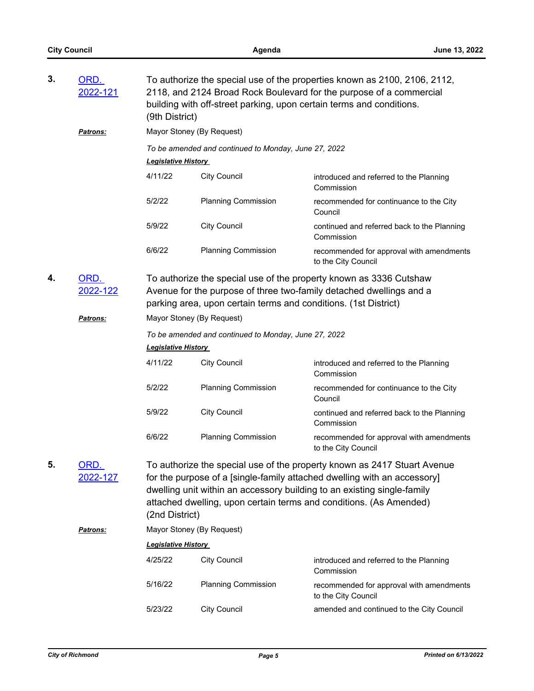| 3. | ORD.<br>2022-121                                                                                                                                                                                                                 | To authorize the special use of the properties known as 2100, 2106, 2112,<br>2118, and 2124 Broad Rock Boulevard for the purpose of a commercial<br>building with off-street parking, upon certain terms and conditions.<br>(9th District) |                                                      |                                                                                                                                                                                                                                                                                                       |  |  |
|----|----------------------------------------------------------------------------------------------------------------------------------------------------------------------------------------------------------------------------------|--------------------------------------------------------------------------------------------------------------------------------------------------------------------------------------------------------------------------------------------|------------------------------------------------------|-------------------------------------------------------------------------------------------------------------------------------------------------------------------------------------------------------------------------------------------------------------------------------------------------------|--|--|
|    | <b>Patrons:</b>                                                                                                                                                                                                                  | Mayor Stoney (By Request)                                                                                                                                                                                                                  |                                                      |                                                                                                                                                                                                                                                                                                       |  |  |
|    |                                                                                                                                                                                                                                  | <b>Legislative History</b>                                                                                                                                                                                                                 | To be amended and continued to Monday, June 27, 2022 |                                                                                                                                                                                                                                                                                                       |  |  |
|    |                                                                                                                                                                                                                                  | 4/11/22                                                                                                                                                                                                                                    | <b>City Council</b>                                  | introduced and referred to the Planning<br>Commission                                                                                                                                                                                                                                                 |  |  |
|    |                                                                                                                                                                                                                                  | 5/2/22                                                                                                                                                                                                                                     | <b>Planning Commission</b>                           | recommended for continuance to the City<br>Council                                                                                                                                                                                                                                                    |  |  |
|    |                                                                                                                                                                                                                                  | 5/9/22                                                                                                                                                                                                                                     | <b>City Council</b>                                  | continued and referred back to the Planning<br>Commission                                                                                                                                                                                                                                             |  |  |
|    |                                                                                                                                                                                                                                  | 6/6/22                                                                                                                                                                                                                                     | <b>Planning Commission</b>                           | recommended for approval with amendments<br>to the City Council                                                                                                                                                                                                                                       |  |  |
| 4. | ORD.<br>To authorize the special use of the property known as 3336 Cutshaw<br>2022-122<br>Avenue for the purpose of three two-family detached dwellings and a<br>parking area, upon certain terms and conditions. (1st District) |                                                                                                                                                                                                                                            |                                                      |                                                                                                                                                                                                                                                                                                       |  |  |
|    | <b>Patrons:</b>                                                                                                                                                                                                                  | Mayor Stoney (By Request)                                                                                                                                                                                                                  |                                                      |                                                                                                                                                                                                                                                                                                       |  |  |
|    |                                                                                                                                                                                                                                  | To be amended and continued to Monday, June 27, 2022                                                                                                                                                                                       |                                                      |                                                                                                                                                                                                                                                                                                       |  |  |
|    |                                                                                                                                                                                                                                  | <b>Legislative History</b>                                                                                                                                                                                                                 |                                                      |                                                                                                                                                                                                                                                                                                       |  |  |
|    |                                                                                                                                                                                                                                  | 4/11/22                                                                                                                                                                                                                                    | <b>City Council</b>                                  | introduced and referred to the Planning<br>Commission                                                                                                                                                                                                                                                 |  |  |
|    |                                                                                                                                                                                                                                  | 5/2/22                                                                                                                                                                                                                                     | <b>Planning Commission</b>                           | recommended for continuance to the City<br>Council                                                                                                                                                                                                                                                    |  |  |
|    |                                                                                                                                                                                                                                  | 5/9/22                                                                                                                                                                                                                                     | <b>City Council</b>                                  | continued and referred back to the Planning<br>Commission                                                                                                                                                                                                                                             |  |  |
|    |                                                                                                                                                                                                                                  | 6/6/22                                                                                                                                                                                                                                     | <b>Planning Commission</b>                           | recommended for approval with amendments<br>to the City Council                                                                                                                                                                                                                                       |  |  |
| 5. | <u>ORD.</u><br>2022-127                                                                                                                                                                                                          | (2nd District)                                                                                                                                                                                                                             |                                                      | To authorize the special use of the property known as 2417 Stuart Avenue<br>for the purpose of a [single-family attached dwelling with an accessory]<br>dwelling unit within an accessory building to an existing single-family<br>attached dwelling, upon certain terms and conditions. (As Amended) |  |  |
|    | Patrons:                                                                                                                                                                                                                         | Mayor Stoney (By Request)                                                                                                                                                                                                                  |                                                      |                                                                                                                                                                                                                                                                                                       |  |  |
|    |                                                                                                                                                                                                                                  | <b>Legislative History</b>                                                                                                                                                                                                                 |                                                      |                                                                                                                                                                                                                                                                                                       |  |  |
|    |                                                                                                                                                                                                                                  | 4/25/22                                                                                                                                                                                                                                    | <b>City Council</b>                                  | introduced and referred to the Planning<br>Commission                                                                                                                                                                                                                                                 |  |  |
|    |                                                                                                                                                                                                                                  | 5/16/22                                                                                                                                                                                                                                    | <b>Planning Commission</b>                           | recommended for approval with amendments<br>to the City Council                                                                                                                                                                                                                                       |  |  |
|    |                                                                                                                                                                                                                                  | 5/23/22                                                                                                                                                                                                                                    | <b>City Council</b>                                  | amended and continued to the City Council                                                                                                                                                                                                                                                             |  |  |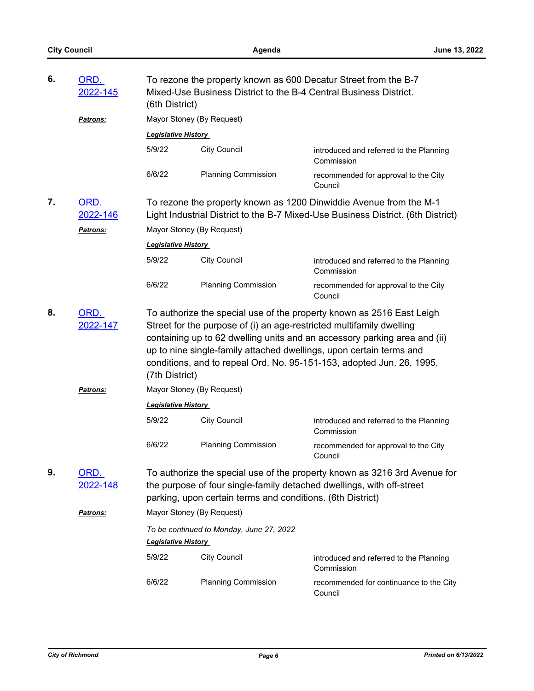| 6. | ORD.<br><u>2022-145</u> | To rezone the property known as 600 Decatur Street from the B-7<br>Mixed-Use Business District to the B-4 Central Business District.<br>(6th District) |                                                                      |                                                                                                                                                                                                                                                                                                    |
|----|-------------------------|--------------------------------------------------------------------------------------------------------------------------------------------------------|----------------------------------------------------------------------|----------------------------------------------------------------------------------------------------------------------------------------------------------------------------------------------------------------------------------------------------------------------------------------------------|
|    | <b>Patrons:</b>         | Mayor Stoney (By Request)                                                                                                                              |                                                                      |                                                                                                                                                                                                                                                                                                    |
|    |                         | <b>Legislative History</b>                                                                                                                             |                                                                      |                                                                                                                                                                                                                                                                                                    |
|    |                         | 5/9/22                                                                                                                                                 | <b>City Council</b>                                                  | introduced and referred to the Planning<br>Commission                                                                                                                                                                                                                                              |
|    |                         | 6/6/22                                                                                                                                                 | <b>Planning Commission</b>                                           | recommended for approval to the City<br>Council                                                                                                                                                                                                                                                    |
| 7. | ORD.<br>2022-146        |                                                                                                                                                        |                                                                      | To rezone the property known as 1200 Dinwiddie Avenue from the M-1<br>Light Industrial District to the B-7 Mixed-Use Business District. (6th District)                                                                                                                                             |
|    | <b>Patrons:</b>         | Mayor Stoney (By Request)                                                                                                                              |                                                                      |                                                                                                                                                                                                                                                                                                    |
|    |                         | <b>Legislative History</b>                                                                                                                             |                                                                      |                                                                                                                                                                                                                                                                                                    |
|    |                         | 5/9/22                                                                                                                                                 | <b>City Council</b>                                                  | introduced and referred to the Planning<br>Commission                                                                                                                                                                                                                                              |
|    |                         | 6/6/22                                                                                                                                                 | <b>Planning Commission</b>                                           | recommended for approval to the City<br>Council                                                                                                                                                                                                                                                    |
| 8. | ORD.<br>2022-147        | (7th District)                                                                                                                                         | Street for the purpose of (i) an age-restricted multifamily dwelling | To authorize the special use of the property known as 2516 East Leigh<br>containing up to 62 dwelling units and an accessory parking area and (ii)<br>up to nine single-family attached dwellings, upon certain terms and<br>conditions, and to repeal Ord. No. 95-151-153, adopted Jun. 26, 1995. |
|    | Patrons:                | Mayor Stoney (By Request)                                                                                                                              |                                                                      |                                                                                                                                                                                                                                                                                                    |
|    |                         | <b>Legislative History</b>                                                                                                                             |                                                                      |                                                                                                                                                                                                                                                                                                    |
|    |                         | 5/9/22                                                                                                                                                 | <b>City Council</b>                                                  | introduced and referred to the Planning<br>Commission                                                                                                                                                                                                                                              |
|    |                         | 6/6/22                                                                                                                                                 | <b>Planning Commission</b>                                           | recommended for approval to the City<br>Council                                                                                                                                                                                                                                                    |
| 9. | ORD.<br><u>2022-148</u> |                                                                                                                                                        | parking, upon certain terms and conditions. (6th District)           | To authorize the special use of the property known as 3216 3rd Avenue for<br>the purpose of four single-family detached dwellings, with off-street                                                                                                                                                 |
|    | Patrons:                | Mayor Stoney (By Request)                                                                                                                              |                                                                      |                                                                                                                                                                                                                                                                                                    |
|    |                         |                                                                                                                                                        | To be continued to Monday, June 27, 2022                             |                                                                                                                                                                                                                                                                                                    |
|    |                         | <b>Legislative History</b>                                                                                                                             |                                                                      |                                                                                                                                                                                                                                                                                                    |
|    |                         | 5/9/22                                                                                                                                                 | <b>City Council</b>                                                  | introduced and referred to the Planning<br>Commission                                                                                                                                                                                                                                              |
|    |                         | 6/6/22                                                                                                                                                 | <b>Planning Commission</b>                                           | recommended for continuance to the City<br>Council                                                                                                                                                                                                                                                 |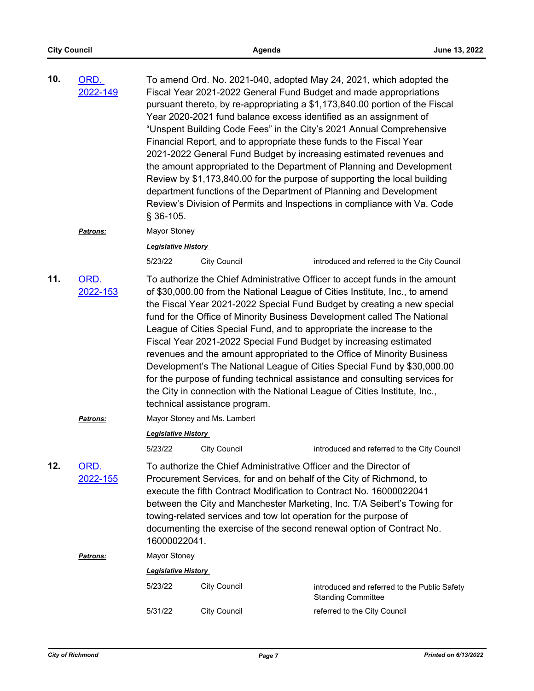| 10. | ORD.<br>2022-149        | § 36-105.                  |                                                                                                                                       | To amend Ord. No. 2021-040, adopted May 24, 2021, which adopted the<br>Fiscal Year 2021-2022 General Fund Budget and made appropriations<br>pursuant thereto, by re-appropriating a \$1,173,840.00 portion of the Fiscal<br>Year 2020-2021 fund balance excess identified as an assignment of<br>"Unspent Building Code Fees" in the City's 2021 Annual Comprehensive<br>Financial Report, and to appropriate these funds to the Fiscal Year<br>2021-2022 General Fund Budget by increasing estimated revenues and<br>the amount appropriated to the Department of Planning and Development<br>Review by \$1,173,840.00 for the purpose of supporting the local building<br>department functions of the Department of Planning and Development<br>Review's Division of Permits and Inspections in compliance with Va. Code |
|-----|-------------------------|----------------------------|---------------------------------------------------------------------------------------------------------------------------------------|----------------------------------------------------------------------------------------------------------------------------------------------------------------------------------------------------------------------------------------------------------------------------------------------------------------------------------------------------------------------------------------------------------------------------------------------------------------------------------------------------------------------------------------------------------------------------------------------------------------------------------------------------------------------------------------------------------------------------------------------------------------------------------------------------------------------------|
|     | Patrons:                | Mayor Stoney               |                                                                                                                                       |                                                                                                                                                                                                                                                                                                                                                                                                                                                                                                                                                                                                                                                                                                                                                                                                                            |
|     |                         | <b>Legislative History</b> |                                                                                                                                       |                                                                                                                                                                                                                                                                                                                                                                                                                                                                                                                                                                                                                                                                                                                                                                                                                            |
|     |                         | 5/23/22                    | <b>City Council</b>                                                                                                                   | introduced and referred to the City Council                                                                                                                                                                                                                                                                                                                                                                                                                                                                                                                                                                                                                                                                                                                                                                                |
| 11. | ORD.<br>2022-153        |                            | technical assistance program.                                                                                                         | To authorize the Chief Administrative Officer to accept funds in the amount<br>of \$30,000.00 from the National League of Cities Institute, Inc., to amend<br>the Fiscal Year 2021-2022 Special Fund Budget by creating a new special<br>fund for the Office of Minority Business Development called The National<br>League of Cities Special Fund, and to appropriate the increase to the<br>Fiscal Year 2021-2022 Special Fund Budget by increasing estimated<br>revenues and the amount appropriated to the Office of Minority Business<br>Development's The National League of Cities Special Fund by \$30,000.00<br>for the purpose of funding technical assistance and consulting services for<br>the City in connection with the National League of Cities Institute, Inc.,                                         |
|     | Patrons:                |                            | Mayor Stoney and Ms. Lambert                                                                                                          |                                                                                                                                                                                                                                                                                                                                                                                                                                                                                                                                                                                                                                                                                                                                                                                                                            |
|     |                         | <b>Legislative History</b> |                                                                                                                                       |                                                                                                                                                                                                                                                                                                                                                                                                                                                                                                                                                                                                                                                                                                                                                                                                                            |
|     |                         | 5/23/22                    | <b>City Council</b>                                                                                                                   | introduced and referred to the City Council                                                                                                                                                                                                                                                                                                                                                                                                                                                                                                                                                                                                                                                                                                                                                                                |
| 12. | <u>ORD.</u><br>2022-155 | 16000022041.               | To authorize the Chief Administrative Officer and the Director of<br>towing-related services and tow lot operation for the purpose of | Procurement Services, for and on behalf of the City of Richmond, to<br>execute the fifth Contract Modification to Contract No. 16000022041<br>between the City and Manchester Marketing, Inc. T/A Seibert's Towing for<br>documenting the exercise of the second renewal option of Contract No.                                                                                                                                                                                                                                                                                                                                                                                                                                                                                                                            |
|     | Patrons:                | Mayor Stoney               |                                                                                                                                       |                                                                                                                                                                                                                                                                                                                                                                                                                                                                                                                                                                                                                                                                                                                                                                                                                            |
|     |                         | <b>Legislative History</b> |                                                                                                                                       |                                                                                                                                                                                                                                                                                                                                                                                                                                                                                                                                                                                                                                                                                                                                                                                                                            |
|     |                         | 5/23/22                    | <b>City Council</b>                                                                                                                   | introduced and referred to the Public Safety<br><b>Standing Committee</b>                                                                                                                                                                                                                                                                                                                                                                                                                                                                                                                                                                                                                                                                                                                                                  |
|     |                         | 5/31/22                    | <b>City Council</b>                                                                                                                   | referred to the City Council                                                                                                                                                                                                                                                                                                                                                                                                                                                                                                                                                                                                                                                                                                                                                                                               |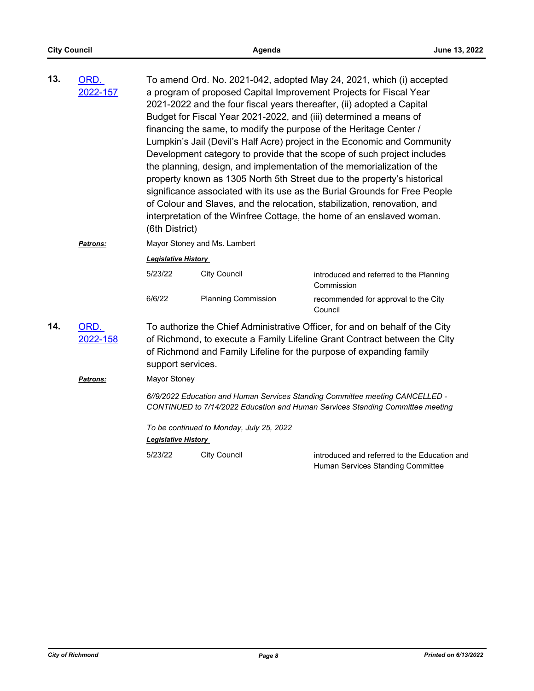| 13. | ORD.<br>2022-157 | (6th District)                                                                                                                                                                                                                                        |                                          | To amend Ord. No. 2021-042, adopted May 24, 2021, which (i) accepted<br>a program of proposed Capital Improvement Projects for Fiscal Year<br>2021-2022 and the four fiscal years thereafter, (ii) adopted a Capital<br>Budget for Fiscal Year 2021-2022, and (iii) determined a means of<br>financing the same, to modify the purpose of the Heritage Center /<br>Lumpkin's Jail (Devil's Half Acre) project in the Economic and Community<br>Development category to provide that the scope of such project includes<br>the planning, design, and implementation of the memorialization of the<br>property known as 1305 North 5th Street due to the property's historical<br>significance associated with its use as the Burial Grounds for Free People<br>of Colour and Slaves, and the relocation, stabilization, renovation, and<br>interpretation of the Winfree Cottage, the home of an enslaved woman. |  |  |
|-----|------------------|-------------------------------------------------------------------------------------------------------------------------------------------------------------------------------------------------------------------------------------------------------|------------------------------------------|-----------------------------------------------------------------------------------------------------------------------------------------------------------------------------------------------------------------------------------------------------------------------------------------------------------------------------------------------------------------------------------------------------------------------------------------------------------------------------------------------------------------------------------------------------------------------------------------------------------------------------------------------------------------------------------------------------------------------------------------------------------------------------------------------------------------------------------------------------------------------------------------------------------------|--|--|
|     | Patrons:         | Mayor Stoney and Ms. Lambert                                                                                                                                                                                                                          |                                          |                                                                                                                                                                                                                                                                                                                                                                                                                                                                                                                                                                                                                                                                                                                                                                                                                                                                                                                 |  |  |
|     |                  | <b>Legislative History</b>                                                                                                                                                                                                                            |                                          |                                                                                                                                                                                                                                                                                                                                                                                                                                                                                                                                                                                                                                                                                                                                                                                                                                                                                                                 |  |  |
|     |                  | 5/23/22                                                                                                                                                                                                                                               | <b>City Council</b>                      | introduced and referred to the Planning<br>Commission                                                                                                                                                                                                                                                                                                                                                                                                                                                                                                                                                                                                                                                                                                                                                                                                                                                           |  |  |
|     |                  | 6/6/22                                                                                                                                                                                                                                                | <b>Planning Commission</b>               | recommended for approval to the City<br>Council                                                                                                                                                                                                                                                                                                                                                                                                                                                                                                                                                                                                                                                                                                                                                                                                                                                                 |  |  |
| 14. | ORD.<br>2022-158 | To authorize the Chief Administrative Officer, for and on behalf of the City<br>of Richmond, to execute a Family Lifeline Grant Contract between the City<br>of Richmond and Family Lifeline for the purpose of expanding family<br>support services. |                                          |                                                                                                                                                                                                                                                                                                                                                                                                                                                                                                                                                                                                                                                                                                                                                                                                                                                                                                                 |  |  |
|     | <b>Patrons:</b>  | Mayor Stoney                                                                                                                                                                                                                                          |                                          |                                                                                                                                                                                                                                                                                                                                                                                                                                                                                                                                                                                                                                                                                                                                                                                                                                                                                                                 |  |  |
|     |                  | 6//9/2022 Education and Human Services Standing Committee meeting CANCELLED -<br>CONTINUED to 7/14/2022 Education and Human Services Standing Committee meeting                                                                                       |                                          |                                                                                                                                                                                                                                                                                                                                                                                                                                                                                                                                                                                                                                                                                                                                                                                                                                                                                                                 |  |  |
|     |                  | <b>Legislative History</b>                                                                                                                                                                                                                            | To be continued to Monday, July 25, 2022 |                                                                                                                                                                                                                                                                                                                                                                                                                                                                                                                                                                                                                                                                                                                                                                                                                                                                                                                 |  |  |
|     |                  | 5/23/22                                                                                                                                                                                                                                               | <b>City Council</b>                      | introduced and referred to the Education and<br>Human Services Standing Committee                                                                                                                                                                                                                                                                                                                                                                                                                                                                                                                                                                                                                                                                                                                                                                                                                               |  |  |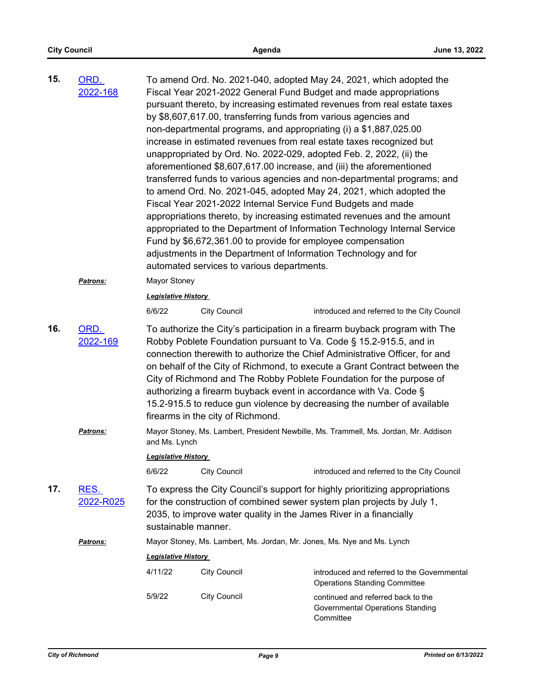| 15. | ORD.<br>2022-168  |                                                                                                                                                                                                                                                     | automated services to various departments. | To amend Ord. No. 2021-040, adopted May 24, 2021, which adopted the<br>Fiscal Year 2021-2022 General Fund Budget and made appropriations<br>pursuant thereto, by increasing estimated revenues from real estate taxes<br>by \$8,607,617.00, transferring funds from various agencies and<br>non-departmental programs, and appropriating (i) a \$1,887,025.00<br>increase in estimated revenues from real estate taxes recognized but<br>unappropriated by Ord. No. 2022-029, adopted Feb. 2, 2022, (ii) the<br>aforementioned \$8,607,617.00 increase, and (iii) the aforementioned<br>transferred funds to various agencies and non-departmental programs; and<br>to amend Ord. No. 2021-045, adopted May 24, 2021, which adopted the<br>Fiscal Year 2021-2022 Internal Service Fund Budgets and made<br>appropriations thereto, by increasing estimated revenues and the amount<br>appropriated to the Department of Information Technology Internal Service<br>Fund by \$6,672,361.00 to provide for employee compensation<br>adjustments in the Department of Information Technology and for |  |
|-----|-------------------|-----------------------------------------------------------------------------------------------------------------------------------------------------------------------------------------------------------------------------------------------------|--------------------------------------------|---------------------------------------------------------------------------------------------------------------------------------------------------------------------------------------------------------------------------------------------------------------------------------------------------------------------------------------------------------------------------------------------------------------------------------------------------------------------------------------------------------------------------------------------------------------------------------------------------------------------------------------------------------------------------------------------------------------------------------------------------------------------------------------------------------------------------------------------------------------------------------------------------------------------------------------------------------------------------------------------------------------------------------------------------------------------------------------------------|--|
|     | Patrons:          | Mayor Stoney                                                                                                                                                                                                                                        |                                            |                                                                                                                                                                                                                                                                                                                                                                                                                                                                                                                                                                                                                                                                                                                                                                                                                                                                                                                                                                                                                                                                                                   |  |
|     |                   | <b>Legislative History</b>                                                                                                                                                                                                                          |                                            |                                                                                                                                                                                                                                                                                                                                                                                                                                                                                                                                                                                                                                                                                                                                                                                                                                                                                                                                                                                                                                                                                                   |  |
|     |                   | 6/6/22                                                                                                                                                                                                                                              | <b>City Council</b>                        | introduced and referred to the City Council                                                                                                                                                                                                                                                                                                                                                                                                                                                                                                                                                                                                                                                                                                                                                                                                                                                                                                                                                                                                                                                       |  |
| 16. | ORD.<br>2022-169  |                                                                                                                                                                                                                                                     | firearms in the city of Richmond.          | To authorize the City's participation in a firearm buyback program with The<br>Robby Poblete Foundation pursuant to Va. Code § 15.2-915.5, and in<br>connection therewith to authorize the Chief Administrative Officer, for and<br>on behalf of the City of Richmond, to execute a Grant Contract between the<br>City of Richmond and The Robby Poblete Foundation for the purpose of<br>authorizing a firearm buyback event in accordance with Va. Code §<br>15.2-915.5 to reduce gun violence by decreasing the number of available                                                                                                                                                                                                                                                                                                                                                                                                                                                                                                                                                            |  |
|     | Patrons:          | Mayor Stoney, Ms. Lambert, President Newbille, Ms. Trammell, Ms. Jordan, Mr. Addison<br>and Ms. Lynch<br><b>Legislative History</b>                                                                                                                 |                                            |                                                                                                                                                                                                                                                                                                                                                                                                                                                                                                                                                                                                                                                                                                                                                                                                                                                                                                                                                                                                                                                                                                   |  |
|     |                   |                                                                                                                                                                                                                                                     |                                            |                                                                                                                                                                                                                                                                                                                                                                                                                                                                                                                                                                                                                                                                                                                                                                                                                                                                                                                                                                                                                                                                                                   |  |
|     |                   | 6/6/22                                                                                                                                                                                                                                              | <b>City Council</b>                        | introduced and referred to the City Council                                                                                                                                                                                                                                                                                                                                                                                                                                                                                                                                                                                                                                                                                                                                                                                                                                                                                                                                                                                                                                                       |  |
| 17. | RES.<br>2022-R025 | To express the City Council's support for highly prioritizing appropriations<br>for the construction of combined sewer system plan projects by July 1,<br>2035, to improve water quality in the James River in a financially<br>sustainable manner. |                                            |                                                                                                                                                                                                                                                                                                                                                                                                                                                                                                                                                                                                                                                                                                                                                                                                                                                                                                                                                                                                                                                                                                   |  |
|     | Patrons:          |                                                                                                                                                                                                                                                     |                                            | Mayor Stoney, Ms. Lambert, Ms. Jordan, Mr. Jones, Ms. Nye and Ms. Lynch                                                                                                                                                                                                                                                                                                                                                                                                                                                                                                                                                                                                                                                                                                                                                                                                                                                                                                                                                                                                                           |  |
|     |                   | <b>Legislative History</b>                                                                                                                                                                                                                          |                                            |                                                                                                                                                                                                                                                                                                                                                                                                                                                                                                                                                                                                                                                                                                                                                                                                                                                                                                                                                                                                                                                                                                   |  |
|     |                   | 4/11/22                                                                                                                                                                                                                                             | <b>City Council</b>                        | introduced and referred to the Governmental<br><b>Operations Standing Committee</b>                                                                                                                                                                                                                                                                                                                                                                                                                                                                                                                                                                                                                                                                                                                                                                                                                                                                                                                                                                                                               |  |
|     |                   | 5/9/22                                                                                                                                                                                                                                              | <b>City Council</b>                        | continued and referred back to the<br>Governmental Operations Standing<br>Committee                                                                                                                                                                                                                                                                                                                                                                                                                                                                                                                                                                                                                                                                                                                                                                                                                                                                                                                                                                                                               |  |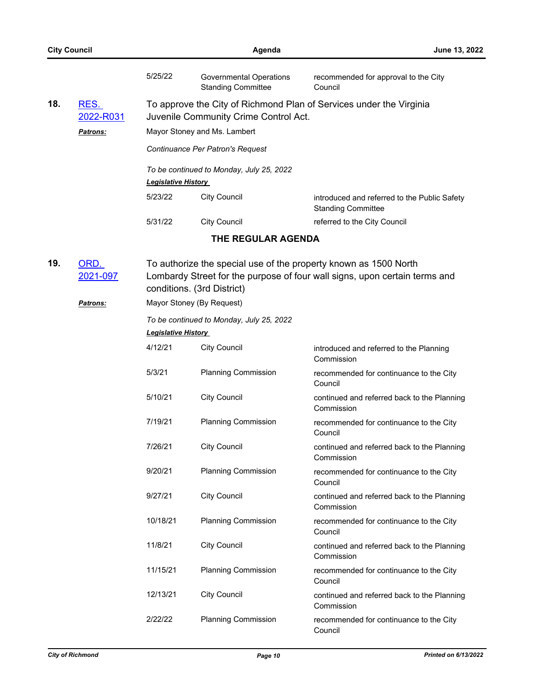|     | <b>City Council</b>                  |                                          | Agenda                                                                | June 13, 2022                                                                                                                                  |
|-----|--------------------------------------|------------------------------------------|-----------------------------------------------------------------------|------------------------------------------------------------------------------------------------------------------------------------------------|
|     |                                      | 5/25/22                                  | <b>Governmental Operations</b><br><b>Standing Committee</b>           | recommended for approval to the City<br>Council                                                                                                |
| 18. | RES.<br>2022-R031<br><b>Patrons:</b> |                                          | Juvenile Community Crime Control Act.<br>Mayor Stoney and Ms. Lambert | To approve the City of Richmond Plan of Services under the Virginia                                                                            |
|     |                                      |                                          | Continuance Per Patron's Request                                      |                                                                                                                                                |
|     |                                      | <b>Legislative History</b>               | To be continued to Monday, July 25, 2022                              |                                                                                                                                                |
|     |                                      | 5/23/22                                  | <b>City Council</b>                                                   | introduced and referred to the Public Safety<br><b>Standing Committee</b>                                                                      |
|     |                                      | 5/31/22                                  | <b>City Council</b>                                                   | referred to the City Council                                                                                                                   |
|     |                                      |                                          | THE REGULAR AGENDA                                                    |                                                                                                                                                |
| 19. | ORD.<br>2021-097                     |                                          | conditions. (3rd District)                                            | To authorize the special use of the property known as 1500 North<br>Lombardy Street for the purpose of four wall signs, upon certain terms and |
|     | <b>Patrons:</b>                      |                                          |                                                                       |                                                                                                                                                |
|     |                                      | To be continued to Monday, July 25, 2022 |                                                                       |                                                                                                                                                |
|     |                                      | <b>Legislative History</b>               |                                                                       |                                                                                                                                                |
|     |                                      | 4/12/21                                  | <b>City Council</b>                                                   | introduced and referred to the Planning<br>Commission                                                                                          |
|     |                                      | 5/3/21                                   | <b>Planning Commission</b>                                            | recommended for continuance to the City<br>Council                                                                                             |
|     |                                      | 5/10/21                                  | <b>City Council</b>                                                   | continued and referred back to the Planning<br>Commission                                                                                      |
|     |                                      | 7/19/21                                  | <b>Planning Commission</b>                                            | recommended for continuance to the City<br>Council                                                                                             |
|     |                                      | 7/26/21                                  | <b>City Council</b>                                                   | continued and referred back to the Planning<br>Commission                                                                                      |
|     |                                      | 9/20/21                                  | <b>Planning Commission</b>                                            | recommended for continuance to the City<br>Council                                                                                             |
|     |                                      | 9/27/21                                  | <b>City Council</b>                                                   | continued and referred back to the Planning<br>Commission                                                                                      |
|     |                                      | 10/18/21                                 | <b>Planning Commission</b>                                            | recommended for continuance to the City<br>Council                                                                                             |
|     |                                      | 11/8/21                                  | <b>City Council</b>                                                   | continued and referred back to the Planning<br>Commission                                                                                      |
|     |                                      | 11/15/21                                 | <b>Planning Commission</b>                                            | recommended for continuance to the City<br>Council                                                                                             |
|     |                                      | 12/13/21                                 | <b>City Council</b>                                                   | continued and referred back to the Planning<br>Commission                                                                                      |
|     |                                      | 2/22/22                                  | <b>Planning Commission</b>                                            | recommended for continuance to the City<br>Council                                                                                             |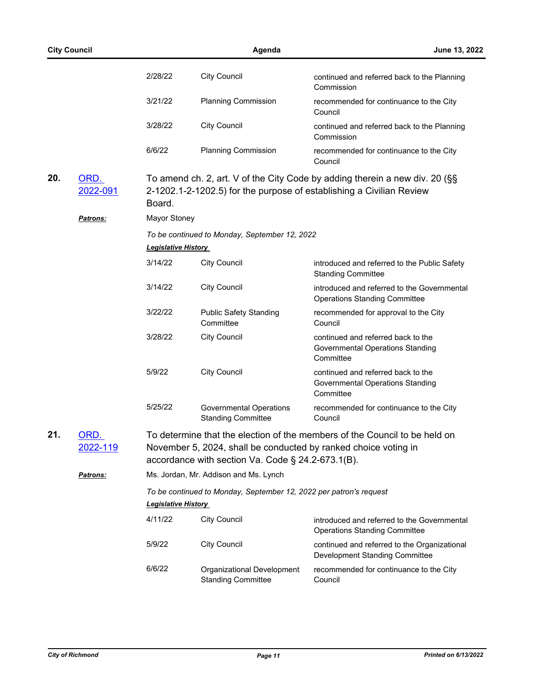|     | <b>City Council</b>     |                            | Agenda                                                                                                               | June 13, 2022                                                                                                                                       |
|-----|-------------------------|----------------------------|----------------------------------------------------------------------------------------------------------------------|-----------------------------------------------------------------------------------------------------------------------------------------------------|
|     |                         | 2/28/22                    | <b>City Council</b>                                                                                                  | continued and referred back to the Planning<br>Commission                                                                                           |
|     |                         | 3/21/22                    | <b>Planning Commission</b>                                                                                           | recommended for continuance to the City<br>Council                                                                                                  |
|     |                         | 3/28/22                    | <b>City Council</b>                                                                                                  | continued and referred back to the Planning<br>Commission                                                                                           |
|     |                         | 6/6/22                     | <b>Planning Commission</b>                                                                                           | recommended for continuance to the City<br>Council                                                                                                  |
| 20. | ORD.<br>2022-091        | Board.                     |                                                                                                                      | To amend ch. 2, art. V of the City Code by adding therein a new div. 20 (§§<br>2-1202.1-2-1202.5) for the purpose of establishing a Civilian Review |
|     | <b>Patrons:</b>         | Mayor Stoney               |                                                                                                                      |                                                                                                                                                     |
|     |                         | <b>Legislative History</b> | To be continued to Monday, September 12, 2022                                                                        |                                                                                                                                                     |
|     |                         | 3/14/22                    | <b>City Council</b>                                                                                                  | introduced and referred to the Public Safety<br><b>Standing Committee</b>                                                                           |
|     |                         | 3/14/22                    | <b>City Council</b>                                                                                                  | introduced and referred to the Governmental<br><b>Operations Standing Committee</b>                                                                 |
|     |                         | 3/22/22                    | <b>Public Safety Standing</b><br>Committee                                                                           | recommended for approval to the City<br>Council                                                                                                     |
|     |                         | 3/28/22                    | <b>City Council</b>                                                                                                  | continued and referred back to the<br>Governmental Operations Standing<br>Committee                                                                 |
|     |                         | 5/9/22                     | <b>City Council</b>                                                                                                  | continued and referred back to the<br>Governmental Operations Standing<br>Committee                                                                 |
|     |                         | 5/25/22                    | <b>Governmental Operations</b><br><b>Standing Committee</b>                                                          | recommended for continuance to the City<br>Council                                                                                                  |
| 21. | <u>ORD.</u><br>2022-119 |                            | November 5, 2024, shall be conducted by ranked choice voting in<br>accordance with section Va. Code § 24.2-673.1(B). | To determine that the election of the members of the Council to be held on                                                                          |
|     | <u>Patrons:</u>         |                            | Ms. Jordan, Mr. Addison and Ms. Lynch                                                                                |                                                                                                                                                     |
|     |                         |                            | To be continued to Monday, September 12, 2022 per patron's request                                                   |                                                                                                                                                     |
|     |                         | Legislative History        |                                                                                                                      |                                                                                                                                                     |
|     |                         | 4/11/22                    | <b>City Council</b>                                                                                                  | introduced and referred to the Governmental<br><b>Operations Standing Committee</b>                                                                 |
|     |                         | 5/9/22                     | <b>City Council</b>                                                                                                  | continued and referred to the Organizational<br>Development Standing Committee                                                                      |
|     |                         | 6/6/22                     | Organizational Development<br><b>Standing Committee</b>                                                              | recommended for continuance to the City<br>Council                                                                                                  |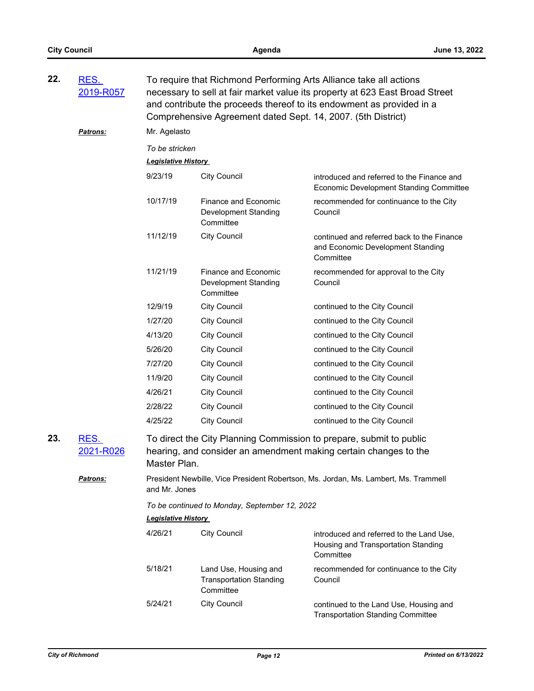| 22. | RES.<br>2019-R057        | To require that Richmond Performing Arts Alliance take all actions<br>necessary to sell at fair market value its property at 623 East Broad Street<br>and contribute the proceeds thereof to its endowment as provided in a<br>Comprehensive Agreement dated Sept. 14, 2007. (5th District) |                                                                      |                                                                                              |  |
|-----|--------------------------|---------------------------------------------------------------------------------------------------------------------------------------------------------------------------------------------------------------------------------------------------------------------------------------------|----------------------------------------------------------------------|----------------------------------------------------------------------------------------------|--|
|     | <b>Patrons:</b>          | Mr. Agelasto                                                                                                                                                                                                                                                                                |                                                                      |                                                                                              |  |
|     |                          | To be stricken<br><b>Legislative History</b>                                                                                                                                                                                                                                                |                                                                      |                                                                                              |  |
|     |                          | 9/23/19                                                                                                                                                                                                                                                                                     | <b>City Council</b>                                                  | introduced and referred to the Finance and<br><b>Economic Development Standing Committee</b> |  |
|     |                          | 10/17/19                                                                                                                                                                                                                                                                                    | Finance and Economic<br>Development Standing<br>Committee            | recommended for continuance to the City<br>Council                                           |  |
|     |                          | 11/12/19                                                                                                                                                                                                                                                                                    | <b>City Council</b>                                                  | continued and referred back to the Finance<br>and Economic Development Standing<br>Committee |  |
|     |                          | 11/21/19                                                                                                                                                                                                                                                                                    | Finance and Economic<br>Development Standing<br>Committee            | recommended for approval to the City<br>Council                                              |  |
|     |                          | 12/9/19                                                                                                                                                                                                                                                                                     | <b>City Council</b>                                                  | continued to the City Council                                                                |  |
|     |                          | 1/27/20                                                                                                                                                                                                                                                                                     | <b>City Council</b>                                                  | continued to the City Council                                                                |  |
|     |                          | 4/13/20                                                                                                                                                                                                                                                                                     | <b>City Council</b>                                                  | continued to the City Council                                                                |  |
|     |                          | 5/26/20                                                                                                                                                                                                                                                                                     | <b>City Council</b>                                                  | continued to the City Council                                                                |  |
|     |                          | 7/27/20                                                                                                                                                                                                                                                                                     | <b>City Council</b>                                                  | continued to the City Council                                                                |  |
|     |                          | 11/9/20                                                                                                                                                                                                                                                                                     | <b>City Council</b>                                                  | continued to the City Council                                                                |  |
|     |                          | 4/26/21                                                                                                                                                                                                                                                                                     | <b>City Council</b>                                                  | continued to the City Council                                                                |  |
|     |                          | 2/28/22                                                                                                                                                                                                                                                                                     | <b>City Council</b>                                                  | continued to the City Council                                                                |  |
|     |                          | 4/25/22                                                                                                                                                                                                                                                                                     | <b>City Council</b>                                                  | continued to the City Council                                                                |  |
| 23. | <u>RES.</u><br>2021-R026 | To direct the City Planning Commission to prepare, submit to public<br>hearing, and consider an amendment making certain changes to the<br>Master Plan.                                                                                                                                     |                                                                      |                                                                                              |  |
|     | <b>Patrons:</b>          | and Mr. Jones                                                                                                                                                                                                                                                                               |                                                                      | President Newbille, Vice President Robertson, Ms. Jordan, Ms. Lambert, Ms. Trammell          |  |
|     |                          | <b>Legislative History</b>                                                                                                                                                                                                                                                                  | To be continued to Monday, September 12, 2022                        |                                                                                              |  |
|     |                          | 4/26/21                                                                                                                                                                                                                                                                                     | <b>City Council</b>                                                  | introduced and referred to the Land Use,<br>Housing and Transportation Standing<br>Committee |  |
|     |                          | 5/18/21                                                                                                                                                                                                                                                                                     | Land Use, Housing and<br><b>Transportation Standing</b><br>Committee | recommended for continuance to the City<br>Council                                           |  |
|     |                          | 5/24/21                                                                                                                                                                                                                                                                                     | <b>City Council</b>                                                  | continued to the Land Use, Housing and<br><b>Transportation Standing Committee</b>           |  |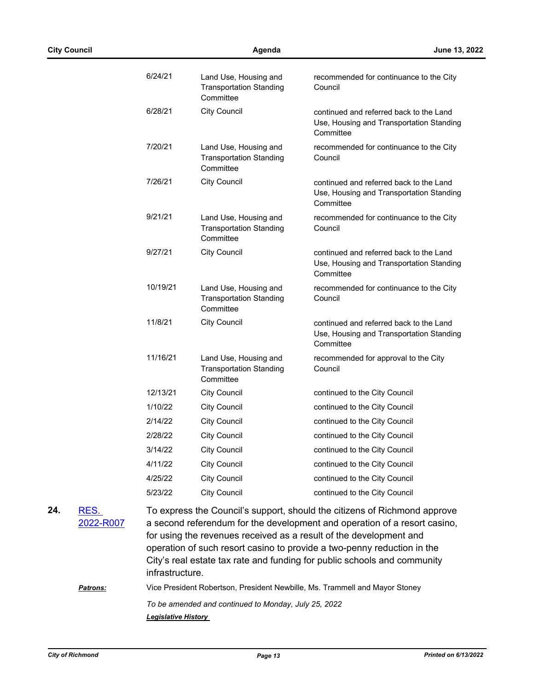| 6/24/21  | Land Use, Housing and<br><b>Transportation Standing</b><br>Committee | recommended for continuance to the City<br>Council                                               |
|----------|----------------------------------------------------------------------|--------------------------------------------------------------------------------------------------|
| 6/28/21  | <b>City Council</b>                                                  | continued and referred back to the Land<br>Use, Housing and Transportation Standing<br>Committee |
| 7/20/21  | Land Use, Housing and<br><b>Transportation Standing</b><br>Committee | recommended for continuance to the City<br>Council                                               |
| 7/26/21  | <b>City Council</b>                                                  | continued and referred back to the Land<br>Use, Housing and Transportation Standing<br>Committee |
| 9/21/21  | Land Use, Housing and<br><b>Transportation Standing</b><br>Committee | recommended for continuance to the City<br>Council                                               |
| 9/27/21  | <b>City Council</b>                                                  | continued and referred back to the Land<br>Use, Housing and Transportation Standing<br>Committee |
| 10/19/21 | Land Use, Housing and<br><b>Transportation Standing</b><br>Committee | recommended for continuance to the City<br>Council                                               |
| 11/8/21  | <b>City Council</b>                                                  | continued and referred back to the Land<br>Use, Housing and Transportation Standing<br>Committee |
| 11/16/21 | Land Use, Housing and<br><b>Transportation Standing</b><br>Committee | recommended for approval to the City<br>Council                                                  |
| 12/13/21 | <b>City Council</b>                                                  | continued to the City Council                                                                    |
| 1/10/22  | <b>City Council</b>                                                  | continued to the City Council                                                                    |
| 2/14/22  | <b>City Council</b>                                                  | continued to the City Council                                                                    |
| 2/28/22  | <b>City Council</b>                                                  | continued to the City Council                                                                    |
| 3/14/22  | <b>City Council</b>                                                  | continued to the City Council                                                                    |
| 4/11/22  | <b>City Council</b>                                                  | continued to the City Council                                                                    |
| 4/25/22  | <b>City Council</b>                                                  | continued to the City Council                                                                    |
| 5/23/22  | <b>City Council</b>                                                  | continued to the City Council                                                                    |
|          |                                                                      |                                                                                                  |

RES. **24.**

[2022-R007](http://richmondva.legistar.com/gateway.aspx?m=l&id=/matter.aspx?key=31084)

To express the Council's support, should the citizens of Richmond approve a second referendum for the development and operation of a resort casino, for using the revenues received as a result of the development and operation of such resort casino to provide a two-penny reduction in the City's real estate tax rate and funding for public schools and community infrastructure.

*Patrons:* Vice President Robertson, President Newbille, Ms. Trammell and Mayor Stoney

*To be amended and continued to Monday, July 25, 2022 Legislative History*